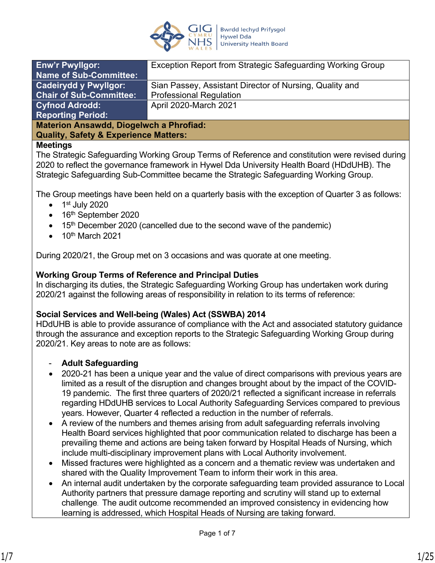

| <b>Enw'r Pwyllgor:</b>                         | Exception Report from Strategic Safeguarding Working Group |  |
|------------------------------------------------|------------------------------------------------------------|--|
| <b>Name of Sub-Committee:</b>                  |                                                            |  |
| <b>Cadeirydd y Pwyllgor:</b>                   | Sian Passey, Assistant Director of Nursing, Quality and    |  |
| <b>Chair of Sub-Committee:</b>                 | <b>Professional Regulation</b>                             |  |
| <b>Cyfnod Adrodd:</b>                          | April 2020-March 2021                                      |  |
| <b>Reporting Period:</b>                       |                                                            |  |
| <b>Materion Ansawdd, Diogelwch a Phrofiad:</b> |                                                            |  |
|                                                |                                                            |  |

**Quality, Safety & Experience Matters:**

### **Meetings**

The Strategic Safeguarding Working Group Terms of Reference and constitution were revised during 2020 to reflect the governance framework in Hywel Dda University Health Board (HDdUHB). The Strategic Safeguarding Sub-Committee became the Strategic Safeguarding Working Group.

The Group meetings have been held on a quarterly basis with the exception of Quarter 3 as follows:

- $\bullet$  1<sup>st</sup> July 2020
- $\bullet$  16<sup>th</sup> September 2020
- $\bullet$  15<sup>th</sup> December 2020 (cancelled due to the second wave of the pandemic)
- $\bullet$  10<sup>th</sup> March 2021

During 2020/21, the Group met on 3 occasions and was quorate at one meeting.

### **Working Group Terms of Reference and Principal Duties**

In discharging its duties, the Strategic Safeguarding Working Group has undertaken work during 2020/21 against the following areas of responsibility in relation to its terms of reference:

#### **Social Services and Well-being (Wales) Act (SSWBA) 2014**

HDdUHB is able to provide assurance of compliance with the Act and associated statutory guidance through the assurance and exception reports to the Strategic Safeguarding Working Group during 2020/21. Key areas to note are as follows:

#### - **Adult Safeguarding**

- 2020-21 has been a unique year and the value of direct comparisons with previous years are limited as a result of the disruption and changes brought about by the impact of the COVID-19 pandemic. The first three quarters of 2020/21 reflected a significant increase in referrals regarding HDdUHB services to Local Authority Safeguarding Services compared to previous years. However, Quarter 4 reflected a reduction in the number of referrals.
- A review of the numbers and themes arising from adult safeguarding referrals involving Health Board services highlighted that poor communication related to discharge has been a prevailing theme and actions are being taken forward by Hospital Heads of Nursing, which include multi-disciplinary improvement plans with Local Authority involvement.
- Missed fractures were highlighted as a concern and a thematic review was undertaken and shared with the Quality Improvement Team to inform their work in this area.
- An internal audit undertaken by the corporate safeguarding team provided assurance to Local Authority partners that pressure damage reporting and scrutiny will stand up to external challenge. The audit outcome recommended an improved consistency in evidencing how learning is addressed, which Hospital Heads of Nursing are taking forward.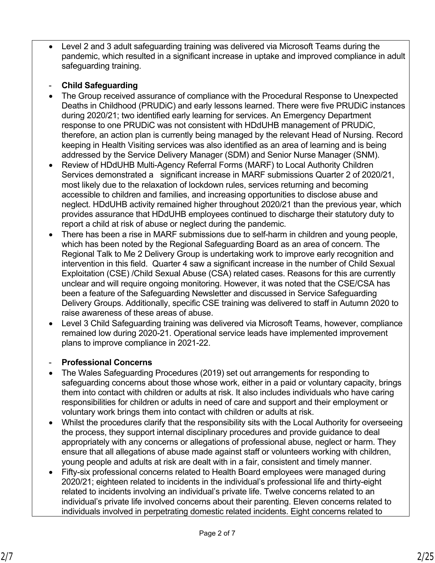Level 2 and 3 adult safeguarding training was delivered via Microsoft Teams during the pandemic, which resulted in a significant increase in uptake and improved compliance in adult safeguarding training.

# - **Child Safeguarding**

- The Group received assurance of compliance with the Procedural Response to Unexpected Deaths in Childhood (PRUDiC) and early lessons learned. There were five PRUDiC instances during 2020/21; two identified early learning for services. An Emergency Department response to one PRUDiC was not consistent with HDdUHB management of PRUDiC, therefore, an action plan is currently being managed by the relevant Head of Nursing. Record keeping in Health Visiting services was also identified as an area of learning and is being addressed by the Service Delivery Manager (SDM) and Senior Nurse Manager (SNM).
- Review of HDdUHB Multi-Agency Referral Forms (MARF) to Local Authority Children Services demonstrated a significant increase in MARF submissions Quarter 2 of 2020/21, most likely due to the relaxation of lockdown rules, services returning and becoming accessible to children and families, and increasing opportunities to disclose abuse and neglect. HDdUHB activity remained higher throughout 2020/21 than the previous year, which provides assurance that HDdUHB employees continued to discharge their statutory duty to report a child at risk of abuse or neglect during the pandemic.
- There has been a rise in MARF submissions due to self-harm in children and young people, which has been noted by the Regional Safeguarding Board as an area of concern. The Regional Talk to Me 2 Delivery Group is undertaking work to improve early recognition and intervention in this field. Quarter 4 saw a significant increase in the number of Child Sexual Exploitation (CSE) /Child Sexual Abuse (CSA) related cases. Reasons for this are currently unclear and will require ongoing monitoring. However, it was noted that the CSE/CSA has been a feature of the Safeguarding Newsletter and discussed in Service Safeguarding Delivery Groups. Additionally, specific CSE training was delivered to staff in Autumn 2020 to raise awareness of these areas of abuse.
- Level 3 Child Safeguarding training was delivered via Microsoft Teams, however, compliance remained low during 2020-21. Operational service leads have implemented improvement plans to improve compliance in 2021-22.

### - **Professional Concerns**

- The Wales Safeguarding Procedures (2019) set out arrangements for responding to safeguarding concerns about those whose work, either in a paid or voluntary capacity, brings them into contact with children or adults at risk. It also includes individuals who have caring responsibilities for children or adults in need of care and support and their employment or voluntary work brings them into contact with children or adults at risk.
- Whilst the procedures clarify that the responsibility sits with the Local Authority for overseeing the process, they support internal disciplinary procedures and provide guidance to deal appropriately with any concerns or allegations of professional abuse, neglect or harm. They ensure that all allegations of abuse made against staff or volunteers working with children, young people and adults at risk are dealt with in a fair, consistent and timely manner.
- Fifty-six professional concerns related to Health Board employees were managed during 2020/21; eighteen related to incidents in the individual's professional life and thirty-eight related to incidents involving an individual's private life. Twelve concerns related to an individual's private life involved concerns about their parenting. Eleven concerns related to individuals involved in perpetrating domestic related incidents. Eight concerns related to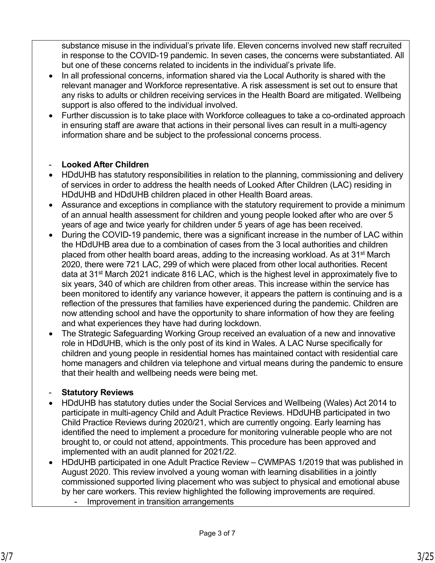substance misuse in the individual's private life. Eleven concerns involved new staff recruited in response to the COVID-19 pandemic. In seven cases, the concerns were substantiated. All but one of these concerns related to incidents in the individual's private life.

- In all professional concerns, information shared via the Local Authority is shared with the relevant manager and Workforce representative. A risk assessment is set out to ensure that any risks to adults or children receiving services in the Health Board are mitigated. Wellbeing support is also offered to the individual involved.
- Further discussion is to take place with Workforce colleagues to take a co-ordinated approach in ensuring staff are aware that actions in their personal lives can result in a multi-agency information share and be subject to the professional concerns process.

# **Looked After Children**

- HDdUHB has statutory responsibilities in relation to the planning, commissioning and delivery of services in order to address the health needs of Looked After Children (LAC) residing in HDdUHB and HDdUHB children placed in other Health Board areas.
- Assurance and exceptions in compliance with the statutory requirement to provide a minimum of an annual health assessment for children and young people looked after who are over 5 years of age and twice yearly for children under 5 years of age has been received.
- During the COVID-19 pandemic, there was a significant increase in the number of LAC within the HDdUHB area due to a combination of cases from the 3 local authorities and children placed from other health board areas, adding to the increasing workload. As at 31st March 2020, there were 721 LAC, 299 of which were placed from other local authorities. Recent data at 31<sup>st</sup> March 2021 indicate 816 LAC, which is the highest level in approximately five to six years, 340 of which are children from other areas. This increase within the service has been monitored to identify any variance however, it appears the pattern is continuing and is a reflection of the pressures that families have experienced during the pandemic. Children are now attending school and have the opportunity to share information of how they are feeling and what experiences they have had during lockdown.
- The Strategic Safeguarding Working Group received an evaluation of a new and innovative role in HDdUHB, which is the only post of its kind in Wales. A LAC Nurse specifically for children and young people in residential homes has maintained contact with residential care home managers and children via telephone and virtual means during the pandemic to ensure that their health and wellbeing needs were being met.

# - **Statutory Reviews**

- HDdUHB has statutory duties under the Social Services and Wellbeing (Wales) Act 2014 to participate in multi-agency Child and Adult Practice Reviews. HDdUHB participated in two Child Practice Reviews during 2020/21, which are currently ongoing. Early learning has identified the need to implement a procedure for monitoring vulnerable people who are not brought to, or could not attend, appointments. This procedure has been approved and implemented with an audit planned for 2021/22.
- HDdUHB participated in one Adult Practice Review CWMPAS 1/2019 that was published in August 2020. This review involved a young woman with learning disabilities in a jointly commissioned supported living placement who was subject to physical and emotional abuse by her care workers. This review highlighted the following improvements are required.
	- Improvement in transition arrangements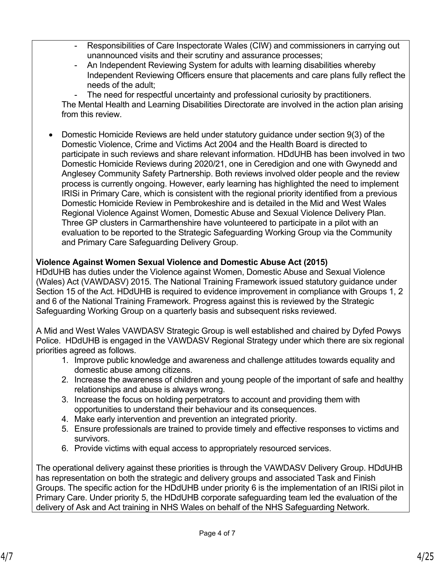- Responsibilities of Care Inspectorate Wales (CIW) and commissioners in carrying out unannounced visits and their scrutiny and assurance processes;
- An Independent Reviewing System for adults with learning disabilities whereby Independent Reviewing Officers ensure that placements and care plans fully reflect the needs of the adult;
- The need for respectful uncertainty and professional curiosity by practitioners.

The Mental Health and Learning Disabilities Directorate are involved in the action plan arising from this review.

 Domestic Homicide Reviews are held under statutory guidance under section 9(3) of the Domestic Violence, Crime and Victims Act 2004 and the Health Board is directed to participate in such reviews and share relevant information. HDdUHB has been involved in two Domestic Homicide Reviews during 2020/21, one in Ceredigion and one with Gwynedd and Anglesey Community Safety Partnership. Both reviews involved older people and the review process is currently ongoing. However, early learning has highlighted the need to implement IRISi in Primary Care, which is consistent with the regional priority identified from a previous Domestic Homicide Review in Pembrokeshire and is detailed in the Mid and West Wales Regional Violence Against Women, Domestic Abuse and Sexual Violence Delivery Plan. Three GP clusters in Carmarthenshire have volunteered to participate in a pilot with an evaluation to be reported to the Strategic Safeguarding Working Group via the Community and Primary Care Safeguarding Delivery Group.

### **Violence Against Women Sexual Violence and Domestic Abuse Act (2015)**

HDdUHB has duties under the Violence against Women, Domestic Abuse and Sexual Violence (Wales) Act (VAWDASV) 2015. The National Training Framework issued statutory guidance under Section 15 of the Act. HDdUHB is required to evidence improvement in compliance with Groups 1, 2 and 6 of the National Training Framework. Progress against this is reviewed by the Strategic Safeguarding Working Group on a quarterly basis and subsequent risks reviewed.

A Mid and West Wales VAWDASV Strategic Group is well established and chaired by Dyfed Powys Police. HDdUHB is engaged in the VAWDASV Regional Strategy under which there are six regional priorities agreed as follows.

- 1. Improve public knowledge and awareness and challenge attitudes towards equality and domestic abuse among citizens.
- 2. Increase the awareness of children and young people of the important of safe and healthy relationships and abuse is always wrong.
- 3. Increase the focus on holding perpetrators to account and providing them with opportunities to understand their behaviour and its consequences.
- 4. Make early intervention and prevention an integrated priority.
- 5. Ensure professionals are trained to provide timely and effective responses to victims and survivors.
- 6. Provide victims with equal access to appropriately resourced services.

The operational delivery against these priorities is through the VAWDASV Delivery Group. HDdUHB has representation on both the strategic and delivery groups and associated Task and Finish Groups. The specific action for the HDdUHB under priority 6 is the implementation of an IRISi pilot in Primary Care. Under priority 5, the HDdUHB corporate safeguarding team led the evaluation of the delivery of Ask and Act training in NHS Wales on behalf of the NHS Safeguarding Network.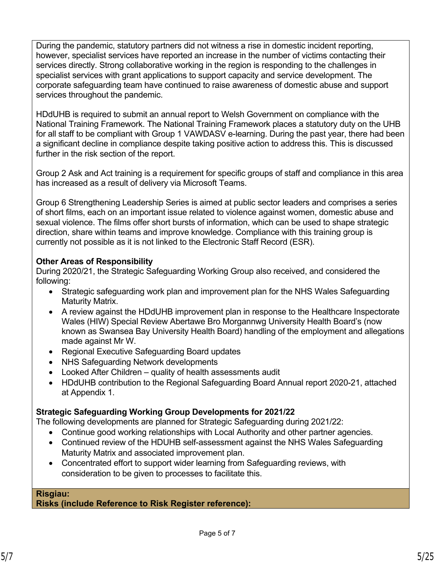During the pandemic, statutory partners did not witness a rise in domestic incident reporting, however, specialist services have reported an increase in the number of victims contacting their services directly. Strong collaborative working in the region is responding to the challenges in specialist services with grant applications to support capacity and service development. The corporate safeguarding team have continued to raise awareness of domestic abuse and support services throughout the pandemic.

HDdUHB is required to submit an annual report to Welsh Government on compliance with the National Training Framework. The National Training Framework places a statutory duty on the UHB for all staff to be compliant with Group 1 VAWDASV e-learning. During the past year, there had been a significant decline in compliance despite taking positive action to address this. This is discussed further in the risk section of the report.

Group 2 Ask and Act training is a requirement for specific groups of staff and compliance in this area has increased as a result of delivery via Microsoft Teams.

Group 6 Strengthening Leadership Series is aimed at public sector leaders and comprises a series of short films, each on an important issue related to violence against women, domestic abuse and sexual violence. The films offer short bursts of information, which can be used to shape strategic direction, share within teams and improve knowledge. Compliance with this training group is currently not possible as it is not linked to the Electronic Staff Record (ESR).

### **Other Areas of Responsibility**

During 2020/21, the Strategic Safeguarding Working Group also received, and considered the following:

- Strategic safeguarding work plan and improvement plan for the NHS Wales Safeguarding Maturity Matrix.
- A review against the HDdUHB improvement plan in response to the Healthcare Inspectorate Wales (HIW) Special Review Abertawe Bro Morgannwg University Health Board's (now known as Swansea Bay University Health Board) handling of the employment and allegations made against Mr W.
- Regional Executive Safeguarding Board updates
- NHS Safeguarding Network developments
- Looked After Children quality of health assessments audit
- HDdUHB contribution to the Regional Safeguarding Board Annual report 2020-21, attached at Appendix 1.

# **Strategic Safeguarding Working Group Developments for 2021/22**

The following developments are planned for Strategic Safeguarding during 2021/22:

- Continue good working relationships with Local Authority and other partner agencies.
- Continued review of the HDUHB self-assessment against the NHS Wales Safeguarding Maturity Matrix and associated improvement plan.
- Concentrated effort to support wider learning from Safeguarding reviews, with consideration to be given to processes to facilitate this.

#### **Risgiau: Risks (include Reference to Risk Register reference):**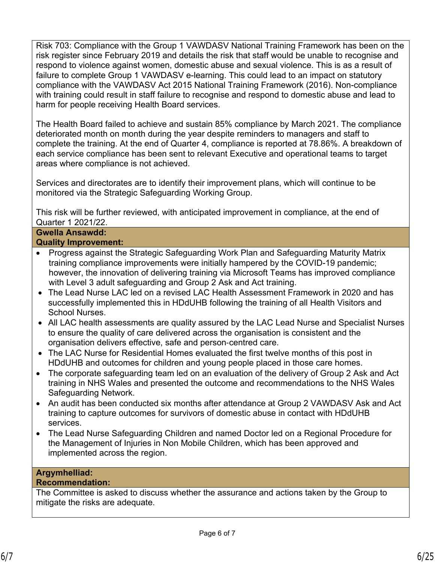Risk 703: Compliance with the Group 1 VAWDASV National Training Framework has been on the risk register since February 2019 and details the risk that staff would be unable to recognise and respond to violence against women, domestic abuse and sexual violence. This is as a result of failure to complete Group 1 VAWDASV e-learning. This could lead to an impact on statutory compliance with the VAWDASV Act 2015 National Training Framework (2016). Non-compliance with training could result in staff failure to recognise and respond to domestic abuse and lead to harm for people receiving Health Board services.

The Health Board failed to achieve and sustain 85% compliance by March 2021. The compliance deteriorated month on month during the year despite reminders to managers and staff to complete the training. At the end of Quarter 4, compliance is reported at 78.86%. A breakdown of each service compliance has been sent to relevant Executive and operational teams to target areas where compliance is not achieved.

Services and directorates are to identify their improvement plans, which will continue to be monitored via the Strategic Safeguarding Working Group.

This risk will be further reviewed, with anticipated improvement in compliance, at the end of Quarter 1 2021/22.

#### **Gwella Ansawdd: Quality Improvement:**

- Progress against the Strategic Safeguarding Work Plan and Safeguarding Maturity Matrix training compliance improvements were initially hampered by the COVID-19 pandemic; however, the innovation of delivering training via Microsoft Teams has improved compliance with Level 3 adult safeguarding and Group 2 Ask and Act training.
- The Lead Nurse LAC led on a revised LAC Health Assessment Framework in 2020 and has successfully implemented this in HDdUHB following the training of all Health Visitors and School Nurses.
- All LAC health assessments are quality assured by the LAC Lead Nurse and Specialist Nurses to ensure the quality of care delivered across the organisation is consistent and the organisation delivers effective, safe and person‐centred care.
- The LAC Nurse for Residential Homes evaluated the first twelve months of this post in HDdUHB and outcomes for children and young people placed in those care homes.
- The corporate safeguarding team led on an evaluation of the delivery of Group 2 Ask and Act training in NHS Wales and presented the outcome and recommendations to the NHS Wales Safeguarding Network.
- An audit has been conducted six months after attendance at Group 2 VAWDASV Ask and Act training to capture outcomes for survivors of domestic abuse in contact with HDdUHB services.
- The Lead Nurse Safeguarding Children and named Doctor led on a Regional Procedure for the Management of Injuries in Non Mobile Children, which has been approved and implemented across the region.

# **Argymhelliad:**

# **Recommendation:**

The Committee is asked to discuss whether the assurance and actions taken by the Group to mitigate the risks are adequate.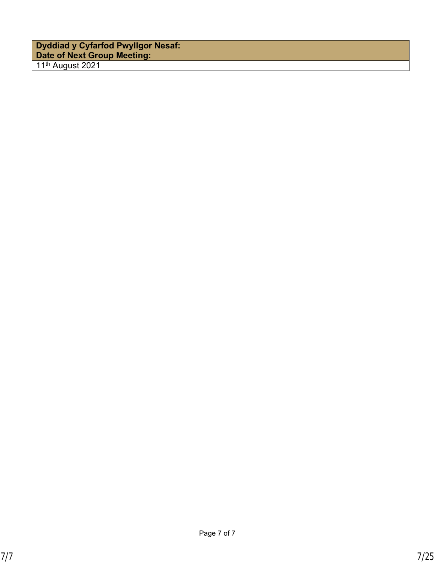| <b>Dyddiad y Cyfarfod Pwyllgor Nesaf:</b><br>Date of Next Group Meeting: |  |
|--------------------------------------------------------------------------|--|
| 11 <sup>th</sup> August 2021                                             |  |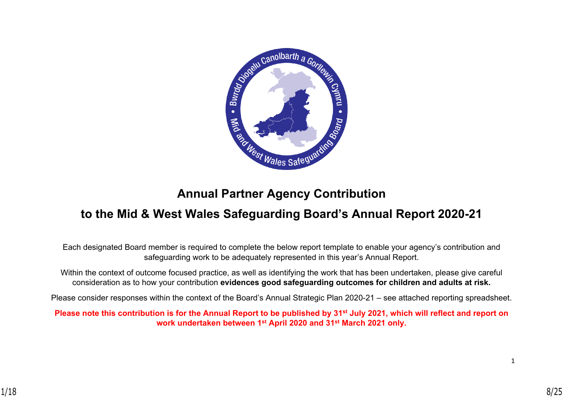

# **Annual Partner Agency Contribution**

# **to the Mid & West Wales Safeguarding Board's Annual Report 2020-21**

Each designated Board member is required to complete the below report template to enable your agency's contribution and safeguarding work to be adequately represented in this year's Annual Report.

Within the context of outcome focused practice, as well as identifying the work that has been undertaken, please give careful consideration as to how your contribution **evidences good safeguarding outcomes for children and adults at risk.**

Please consider responses within the context of the Board's Annual Strategic Plan 2020-21 – see attached reporting spreadsheet.

**Please note this contribution is for the Annual Report to be published by 31st July 2021, which will reflect and report on work undertaken between 1st April 2020 and 31st March 2021 only.**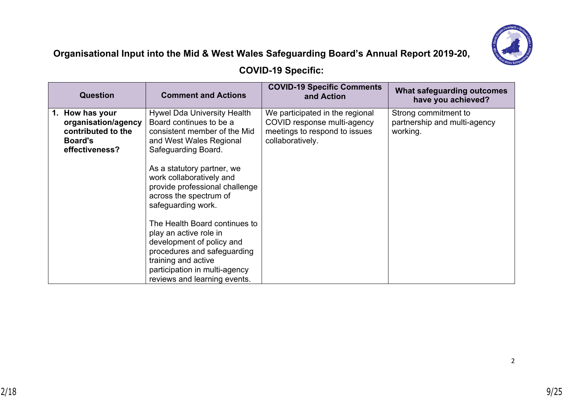

# **Organisational Input into the Mid & West Wales Safeguarding Board's Annual Report 2019-20,**

# **COVID-19 Specific:**

| <b>Question</b>                                                                                     | <b>Comment and Actions</b>                                                                                                                                                                                                                                                                  | <b>COVID-19 Specific Comments</b><br>and Action                                                                     | What safeguarding outcomes<br>have you achieved?                 |
|-----------------------------------------------------------------------------------------------------|---------------------------------------------------------------------------------------------------------------------------------------------------------------------------------------------------------------------------------------------------------------------------------------------|---------------------------------------------------------------------------------------------------------------------|------------------------------------------------------------------|
| How has your<br>1.<br>organisation/agency<br>contributed to the<br><b>Board's</b><br>effectiveness? | <b>Hywel Dda University Health</b><br>Board continues to be a<br>consistent member of the Mid<br>and West Wales Regional<br>Safeguarding Board.<br>As a statutory partner, we<br>work collaboratively and<br>provide professional challenge<br>across the spectrum of<br>safeguarding work. | We participated in the regional<br>COVID response multi-agency<br>meetings to respond to issues<br>collaboratively. | Strong commitment to<br>partnership and multi-agency<br>working. |
|                                                                                                     | The Health Board continues to<br>play an active role in<br>development of policy and<br>procedures and safeguarding<br>training and active<br>participation in multi-agency<br>reviews and learning events.                                                                                 |                                                                                                                     |                                                                  |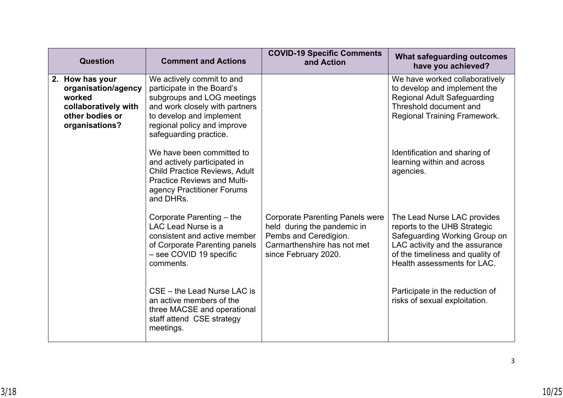| <b>Question</b>                                                                                               | <b>Comment and Actions</b>                                                                                                                                                                                   | <b>COVID-19 Specific Comments</b><br>and Action                                                                                                       | What safeguarding outcomes<br>have you achieved?                                                                                                                                                  |
|---------------------------------------------------------------------------------------------------------------|--------------------------------------------------------------------------------------------------------------------------------------------------------------------------------------------------------------|-------------------------------------------------------------------------------------------------------------------------------------------------------|---------------------------------------------------------------------------------------------------------------------------------------------------------------------------------------------------|
| 2. How has your<br>organisation/agency<br>worked<br>collaboratively with<br>other bodies or<br>organisations? | We actively commit to and<br>participate in the Board's<br>subgroups and LOG meetings<br>and work closely with partners<br>to develop and implement<br>regional policy and improve<br>safeguarding practice. |                                                                                                                                                       | We have worked collaboratively<br>to develop and implement the<br><b>Regional Adult Safeguarding</b><br>Threshold document and<br><b>Regional Training Framework.</b>                             |
|                                                                                                               | We have been committed to<br>and actively participated in<br><b>Child Practice Reviews, Adult</b><br><b>Practice Reviews and Multi-</b><br>agency Practitioner Forums<br>and DHRs.                           |                                                                                                                                                       | Identification and sharing of<br>learning within and across<br>agencies.                                                                                                                          |
|                                                                                                               | Corporate Parenting - the<br>LAC Lead Nurse is a<br>consistent and active member<br>of Corporate Parenting panels<br>- see COVID 19 specific<br>comments.                                                    | <b>Corporate Parenting Panels were</b><br>held during the pandemic in<br>Pembs and Ceredigion.<br>Carmarthenshire has not met<br>since February 2020. | The Lead Nurse LAC provides<br>reports to the UHB Strategic<br>Safeguarding Working Group on<br>LAC activity and the assurance<br>of the timeliness and quality of<br>Health assessments for LAC. |
|                                                                                                               | CSE – the Lead Nurse LAC is<br>an active members of the<br>three MACSE and operational<br>staff attend CSE strategy<br>meetings.                                                                             |                                                                                                                                                       | Participate in the reduction of<br>risks of sexual exploitation.                                                                                                                                  |

3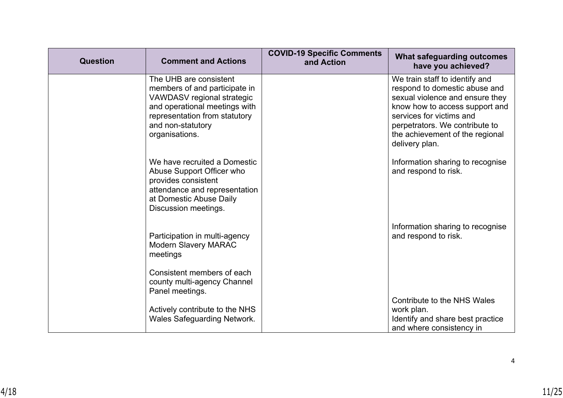| Question | <b>Comment and Actions</b>                                                                                                                                                                     | <b>COVID-19 Specific Comments</b><br>and Action | <b>What safeguarding outcomes</b><br>have you achieved?                                                                                                                                                                                                 |
|----------|------------------------------------------------------------------------------------------------------------------------------------------------------------------------------------------------|-------------------------------------------------|---------------------------------------------------------------------------------------------------------------------------------------------------------------------------------------------------------------------------------------------------------|
|          | The UHB are consistent<br>members of and participate in<br>VAWDASV regional strategic<br>and operational meetings with<br>representation from statutory<br>and non-statutory<br>organisations. |                                                 | We train staff to identify and<br>respond to domestic abuse and<br>sexual violence and ensure they<br>know how to access support and<br>services for victims and<br>perpetrators. We contribute to<br>the achievement of the regional<br>delivery plan. |
|          | We have recruited a Domestic<br>Abuse Support Officer who<br>provides consistent<br>attendance and representation<br>at Domestic Abuse Daily<br>Discussion meetings.                           |                                                 | Information sharing to recognise<br>and respond to risk.                                                                                                                                                                                                |
|          | Participation in multi-agency<br><b>Modern Slavery MARAC</b><br>meetings                                                                                                                       |                                                 | Information sharing to recognise<br>and respond to risk.                                                                                                                                                                                                |
|          | Consistent members of each<br>county multi-agency Channel<br>Panel meetings.                                                                                                                   |                                                 |                                                                                                                                                                                                                                                         |
|          | Actively contribute to the NHS<br><b>Wales Safeguarding Network.</b>                                                                                                                           |                                                 | Contribute to the NHS Wales<br>work plan.<br>Identify and share best practice<br>and where consistency in                                                                                                                                               |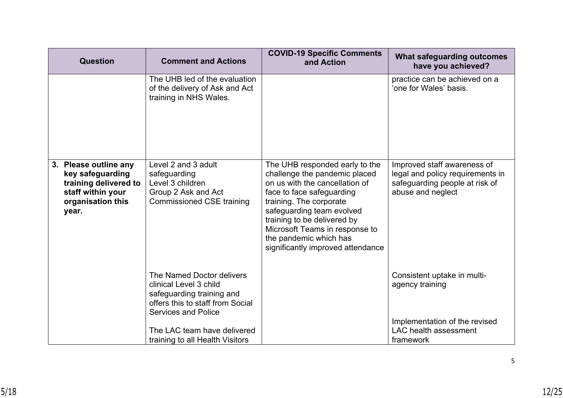| <b>Question</b>                                                                                                       | <b>Comment and Actions</b>                                                                                                                         | <b>COVID-19 Specific Comments</b><br>and Action                                                                                                                                                                                                                                                                        | What safeguarding outcomes<br>have you achieved?                                                                       |
|-----------------------------------------------------------------------------------------------------------------------|----------------------------------------------------------------------------------------------------------------------------------------------------|------------------------------------------------------------------------------------------------------------------------------------------------------------------------------------------------------------------------------------------------------------------------------------------------------------------------|------------------------------------------------------------------------------------------------------------------------|
|                                                                                                                       | The UHB led of the evaluation<br>of the delivery of Ask and Act<br>training in NHS Wales.                                                          |                                                                                                                                                                                                                                                                                                                        | practice can be achieved on a<br>'one for Wales' basis.                                                                |
| 3. Please outline any<br>key safeguarding<br>training delivered to<br>staff within your<br>organisation this<br>year. | Level 2 and 3 adult<br>safeguarding<br>Level 3 children<br>Group 2 Ask and Act<br><b>Commissioned CSE training</b>                                 | The UHB responded early to the<br>challenge the pandemic placed<br>on us with the cancellation of<br>face to face safeguarding<br>training. The corporate<br>safeguarding team evolved<br>training to be delivered by<br>Microsoft Teams in response to<br>the pandemic which has<br>significantly improved attendance | Improved staff awareness of<br>legal and policy requirements in<br>safeguarding people at risk of<br>abuse and neglect |
|                                                                                                                       | The Named Doctor delivers<br>clinical Level 3 child<br>safeguarding training and<br>offers this to staff from Social<br><b>Services and Police</b> |                                                                                                                                                                                                                                                                                                                        | Consistent uptake in multi-<br>agency training                                                                         |
|                                                                                                                       | The LAC team have delivered<br>training to all Health Visitors                                                                                     |                                                                                                                                                                                                                                                                                                                        | Implementation of the revised<br><b>LAC</b> health assessment<br>framework                                             |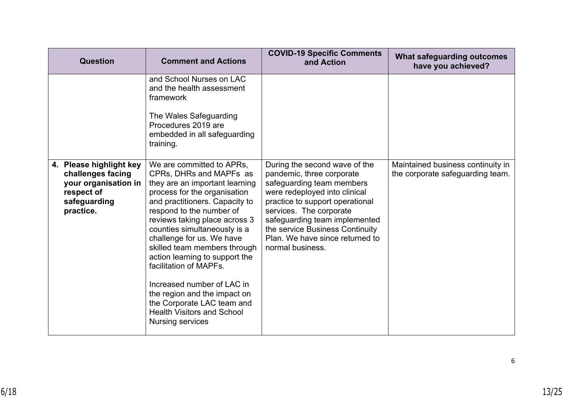| <b>Question</b>                                                                                                 | <b>Comment and Actions</b>                                                                                                                                                                                                                                                                                                                                                                                                                                                                                                                 | <b>COVID-19 Specific Comments</b><br>and Action                                                                                                                                                                                                                                                                   | What safeguarding outcomes<br>have you achieved?                      |
|-----------------------------------------------------------------------------------------------------------------|--------------------------------------------------------------------------------------------------------------------------------------------------------------------------------------------------------------------------------------------------------------------------------------------------------------------------------------------------------------------------------------------------------------------------------------------------------------------------------------------------------------------------------------------|-------------------------------------------------------------------------------------------------------------------------------------------------------------------------------------------------------------------------------------------------------------------------------------------------------------------|-----------------------------------------------------------------------|
|                                                                                                                 | and School Nurses on LAC<br>and the health assessment<br>framework<br>The Wales Safeguarding<br>Procedures 2019 are<br>embedded in all safeguarding<br>training.                                                                                                                                                                                                                                                                                                                                                                           |                                                                                                                                                                                                                                                                                                                   |                                                                       |
| 4. Please highlight key<br>challenges facing<br>your organisation in<br>respect of<br>safeguarding<br>practice. | We are committed to APRs.<br>CPRs, DHRs and MAPFs as<br>they are an important learning<br>process for the organisation<br>and practitioners. Capacity to<br>respond to the number of<br>reviews taking place across 3<br>counties simultaneously is a<br>challenge for us. We have<br>skilled team members through<br>action learning to support the<br>facilitation of MAPFs.<br>Increased number of LAC in<br>the region and the impact on<br>the Corporate LAC team and<br><b>Health Visitors and School</b><br><b>Nursing services</b> | During the second wave of the<br>pandemic, three corporate<br>safeguarding team members<br>were redeployed into clinical<br>practice to support operational<br>services. The corporate<br>safeguarding team implemented<br>the service Business Continuity<br>Plan. We have since returned to<br>normal business. | Maintained business continuity in<br>the corporate safeguarding team. |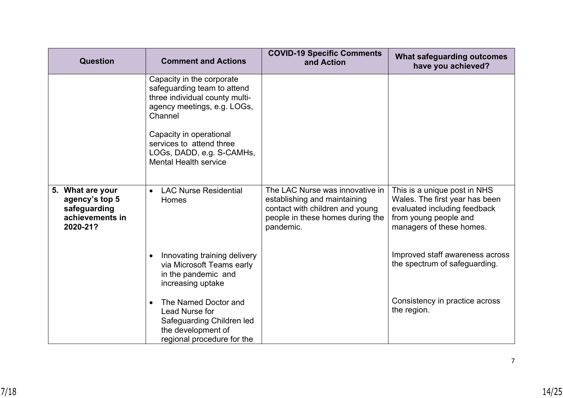| <b>Question</b>                                                                      | <b>Comment and Actions</b>                                                                                                                                                                                                                               | <b>COVID-19 Specific Comments</b><br>and Action                                                                                                     | <b>What safeguarding outcomes</b><br>have you achieved?                                                                                             |
|--------------------------------------------------------------------------------------|----------------------------------------------------------------------------------------------------------------------------------------------------------------------------------------------------------------------------------------------------------|-----------------------------------------------------------------------------------------------------------------------------------------------------|-----------------------------------------------------------------------------------------------------------------------------------------------------|
|                                                                                      | Capacity in the corporate<br>safeguarding team to attend<br>three individual county multi-<br>agency meetings, e.g. LOGs,<br>Channel<br>Capacity in operational<br>services to attend three<br>LOGs, DADD, e.g. S-CAMHs,<br><b>Mental Health service</b> |                                                                                                                                                     |                                                                                                                                                     |
| What are your<br>5.<br>agency's top 5<br>safeguarding<br>achievements in<br>2020-21? | <b>LAC Nurse Residential</b><br>$\bullet$<br>Homes                                                                                                                                                                                                       | The LAC Nurse was innovative in<br>establishing and maintaining<br>contact with children and young<br>people in these homes during the<br>pandemic. | This is a unique post in NHS<br>Wales. The first year has been<br>evaluated including feedback<br>from young people and<br>managers of these homes. |
|                                                                                      | Innovating training delivery<br>$\bullet$<br>via Microsoft Teams early<br>in the pandemic and<br>increasing uptake                                                                                                                                       |                                                                                                                                                     | Improved staff awareness across<br>the spectrum of safeguarding.                                                                                    |
|                                                                                      | The Named Doctor and<br>$\bullet$<br>Lead Nurse for<br>Safeguarding Children led<br>the development of<br>regional procedure for the                                                                                                                     |                                                                                                                                                     | Consistency in practice across<br>the region.                                                                                                       |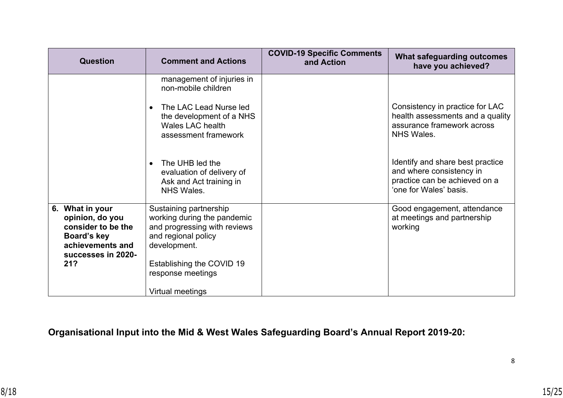| <b>Question</b>                                                                                                          | <b>Comment and Actions</b>                                                                                                                                                     | <b>COVID-19 Specific Comments</b><br>and Action | What safeguarding outcomes<br>have you achieved?                                                                        |
|--------------------------------------------------------------------------------------------------------------------------|--------------------------------------------------------------------------------------------------------------------------------------------------------------------------------|-------------------------------------------------|-------------------------------------------------------------------------------------------------------------------------|
|                                                                                                                          | management of injuries in<br>non-mobile children<br>The LAC Lead Nurse led<br>the development of a NHS<br><b>Wales LAC health</b><br>assessment framework                      |                                                 | Consistency in practice for LAC<br>health assessments and a quality<br>assurance framework across<br><b>NHS Wales.</b>  |
|                                                                                                                          | The UHB led the<br>$\bullet$<br>evaluation of delivery of<br>Ask and Act training in<br><b>NHS Wales.</b>                                                                      |                                                 | Identify and share best practice<br>and where consistency in<br>practice can be achieved on a<br>'one for Wales' basis. |
| 6. What in your<br>opinion, do you<br>consider to be the<br>Board's key<br>achievements and<br>successes in 2020-<br>21? | Sustaining partnership<br>working during the pandemic<br>and progressing with reviews<br>and regional policy<br>development.<br>Establishing the COVID 19<br>response meetings |                                                 | Good engagement, attendance<br>at meetings and partnership<br>working                                                   |
|                                                                                                                          | Virtual meetings                                                                                                                                                               |                                                 |                                                                                                                         |

# **Organisational Input into the Mid & West Wales Safeguarding Board's Annual Report 2019-20:**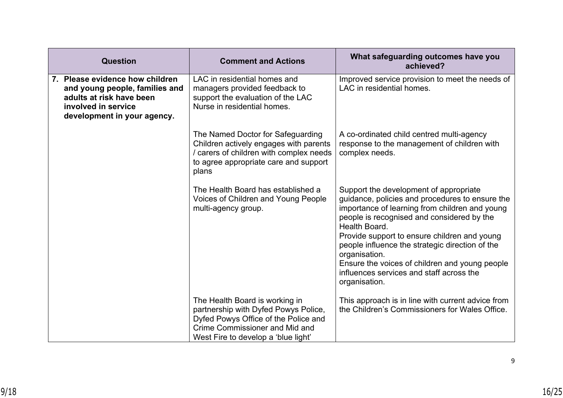| Question                                                                                                                                            | <b>Comment and Actions</b>                                                                                                                                                              | What safeguarding outcomes have you<br>achieved?                                                                                                                                                                                                                                                                                                                                                                                              |
|-----------------------------------------------------------------------------------------------------------------------------------------------------|-----------------------------------------------------------------------------------------------------------------------------------------------------------------------------------------|-----------------------------------------------------------------------------------------------------------------------------------------------------------------------------------------------------------------------------------------------------------------------------------------------------------------------------------------------------------------------------------------------------------------------------------------------|
| 7. Please evidence how children<br>and young people, families and<br>adults at risk have been<br>involved in service<br>development in your agency. | LAC in residential homes and<br>managers provided feedback to<br>support the evaluation of the LAC<br>Nurse in residential homes.                                                       | Improved service provision to meet the needs of<br>LAC in residential homes.                                                                                                                                                                                                                                                                                                                                                                  |
|                                                                                                                                                     | The Named Doctor for Safeguarding<br>Children actively engages with parents<br>/ carers of children with complex needs<br>to agree appropriate care and support<br>plans                | A co-ordinated child centred multi-agency<br>response to the management of children with<br>complex needs.                                                                                                                                                                                                                                                                                                                                    |
|                                                                                                                                                     | The Health Board has established a<br>Voices of Children and Young People<br>multi-agency group.                                                                                        | Support the development of appropriate<br>guidance, policies and procedures to ensure the<br>importance of learning from children and young<br>people is recognised and considered by the<br>Health Board.<br>Provide support to ensure children and young<br>people influence the strategic direction of the<br>organisation.<br>Ensure the voices of children and young people<br>influences services and staff across the<br>organisation. |
|                                                                                                                                                     | The Health Board is working in<br>partnership with Dyfed Powys Police,<br>Dyfed Powys Office of the Police and<br>Crime Commissioner and Mid and<br>West Fire to develop a 'blue light' | This approach is in line with current advice from<br>the Children's Commissioners for Wales Office.                                                                                                                                                                                                                                                                                                                                           |

9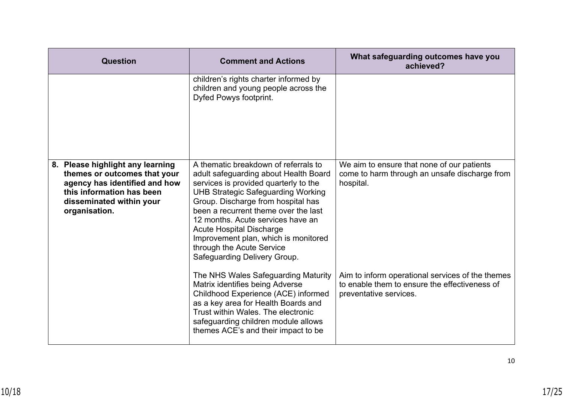| <b>Question</b>                                                                                                                                                             | <b>Comment and Actions</b>                                                                                                                                                                                                                                                                                                                                                                                                     | What safeguarding outcomes have you<br>achieved?                                                                            |
|-----------------------------------------------------------------------------------------------------------------------------------------------------------------------------|--------------------------------------------------------------------------------------------------------------------------------------------------------------------------------------------------------------------------------------------------------------------------------------------------------------------------------------------------------------------------------------------------------------------------------|-----------------------------------------------------------------------------------------------------------------------------|
|                                                                                                                                                                             | children's rights charter informed by<br>children and young people across the<br>Dyfed Powys footprint.                                                                                                                                                                                                                                                                                                                        |                                                                                                                             |
| 8. Please highlight any learning<br>themes or outcomes that your<br>agency has identified and how<br>this information has been<br>disseminated within your<br>organisation. | A thematic breakdown of referrals to<br>adult safeguarding about Health Board<br>services is provided quarterly to the<br><b>UHB Strategic Safeguarding Working</b><br>Group. Discharge from hospital has<br>been a recurrent theme over the last<br>12 months. Acute services have an<br><b>Acute Hospital Discharge</b><br>Improvement plan, which is monitored<br>through the Acute Service<br>Safeguarding Delivery Group. | We aim to ensure that none of our patients<br>come to harm through an unsafe discharge from<br>hospital.                    |
|                                                                                                                                                                             | The NHS Wales Safeguarding Maturity<br>Matrix identifies being Adverse<br>Childhood Experience (ACE) informed<br>as a key area for Health Boards and<br>Trust within Wales. The electronic<br>safeguarding children module allows<br>themes ACE's and their impact to be                                                                                                                                                       | Aim to inform operational services of the themes<br>to enable them to ensure the effectiveness of<br>preventative services. |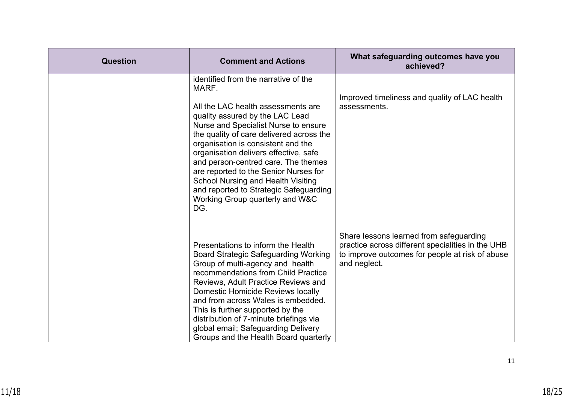| Question | <b>Comment and Actions</b>                                                                                                                                                                                                                                                                                                                                                                                                                                                                                 | What safeguarding outcomes have you<br>achieved?                                                                                                                |
|----------|------------------------------------------------------------------------------------------------------------------------------------------------------------------------------------------------------------------------------------------------------------------------------------------------------------------------------------------------------------------------------------------------------------------------------------------------------------------------------------------------------------|-----------------------------------------------------------------------------------------------------------------------------------------------------------------|
|          | identified from the narrative of the<br>MARF.<br>All the LAC health assessments are<br>quality assured by the LAC Lead<br>Nurse and Specialist Nurse to ensure<br>the quality of care delivered across the<br>organisation is consistent and the<br>organisation delivers effective, safe<br>and person-centred care. The themes<br>are reported to the Senior Nurses for<br><b>School Nursing and Health Visiting</b><br>and reported to Strategic Safeguarding<br>Working Group quarterly and W&C<br>DG. | Improved timeliness and quality of LAC health<br>assessments.                                                                                                   |
|          | Presentations to inform the Health<br><b>Board Strategic Safeguarding Working</b><br>Group of multi-agency and health<br>recommendations from Child Practice<br>Reviews, Adult Practice Reviews and<br>Domestic Homicide Reviews locally<br>and from across Wales is embedded.<br>This is further supported by the<br>distribution of 7-minute briefings via<br>global email; Safeguarding Delivery<br>Groups and the Health Board quarterly                                                               | Share lessons learned from safeguarding<br>practice across different specialities in the UHB<br>to improve outcomes for people at risk of abuse<br>and neglect. |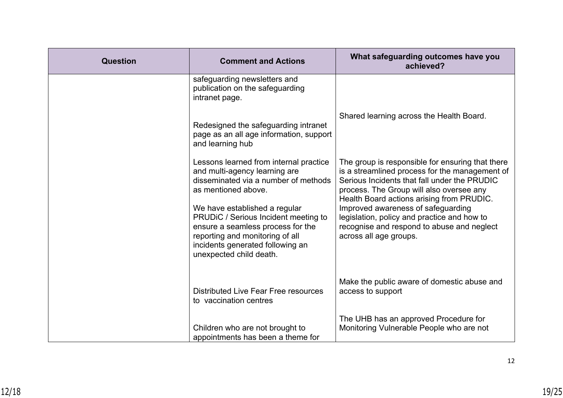| <b>Question</b> | <b>Comment and Actions</b>                                                                                                                                                                                   | What safeguarding outcomes have you<br>achieved?                                                                                                                                                                                            |
|-----------------|--------------------------------------------------------------------------------------------------------------------------------------------------------------------------------------------------------------|---------------------------------------------------------------------------------------------------------------------------------------------------------------------------------------------------------------------------------------------|
|                 | safeguarding newsletters and<br>publication on the safeguarding<br>intranet page.                                                                                                                            |                                                                                                                                                                                                                                             |
|                 | Redesigned the safeguarding intranet<br>page as an all age information, support<br>and learning hub                                                                                                          | Shared learning across the Health Board.                                                                                                                                                                                                    |
|                 | Lessons learned from internal practice<br>and multi-agency learning are<br>disseminated via a number of methods<br>as mentioned above.                                                                       | The group is responsible for ensuring that there<br>is a streamlined process for the management of<br>Serious Incidents that fall under the PRUDIC<br>process. The Group will also oversee any<br>Health Board actions arising from PRUDIC. |
|                 | We have established a regular<br>PRUDiC / Serious Incident meeting to<br>ensure a seamless process for the<br>reporting and monitoring of all<br>incidents generated following an<br>unexpected child death. | Improved awareness of safeguarding<br>legislation, policy and practice and how to<br>recognise and respond to abuse and neglect<br>across all age groups.                                                                                   |
|                 | <b>Distributed Live Fear Free resources</b><br>to vaccination centres                                                                                                                                        | Make the public aware of domestic abuse and<br>access to support                                                                                                                                                                            |
|                 | Children who are not brought to<br>appointments has been a theme for                                                                                                                                         | The UHB has an approved Procedure for<br>Monitoring Vulnerable People who are not                                                                                                                                                           |

12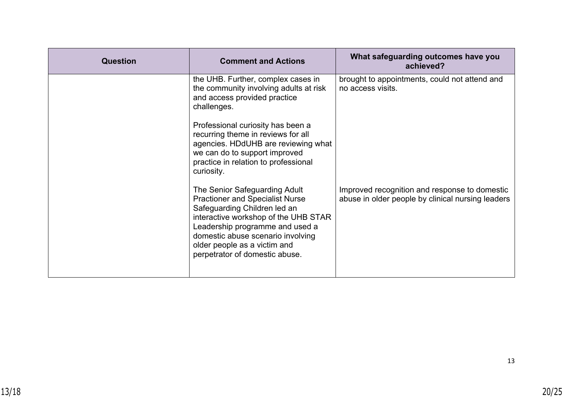| <b>Question</b> | <b>Comment and Actions</b>                                                                                                                                                                                                                                                                | What safeguarding outcomes have you<br>achieved?                                                   |
|-----------------|-------------------------------------------------------------------------------------------------------------------------------------------------------------------------------------------------------------------------------------------------------------------------------------------|----------------------------------------------------------------------------------------------------|
|                 | the UHB. Further, complex cases in<br>the community involving adults at risk<br>and access provided practice<br>challenges.                                                                                                                                                               | brought to appointments, could not attend and<br>no access visits.                                 |
|                 | Professional curiosity has been a<br>recurring theme in reviews for all<br>agencies. HDdUHB are reviewing what<br>we can do to support improved<br>practice in relation to professional<br>curiosity.                                                                                     |                                                                                                    |
|                 | The Senior Safeguarding Adult<br><b>Practioner and Specialist Nurse</b><br>Safeguarding Children led an<br>interactive workshop of the UHB STAR<br>Leadership programme and used a<br>domestic abuse scenario involving<br>older people as a victim and<br>perpetrator of domestic abuse. | Improved recognition and response to domestic<br>abuse in older people by clinical nursing leaders |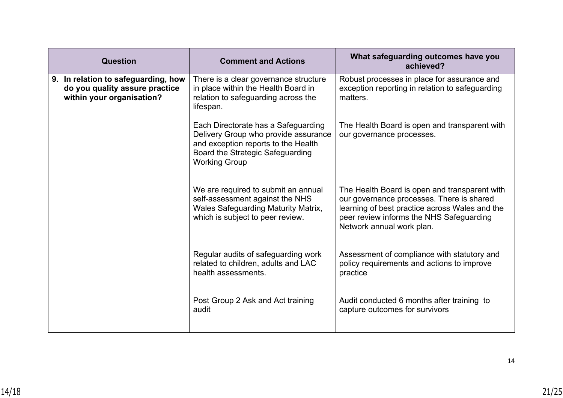| <b>Question</b>                                                                                    | <b>Comment and Actions</b>                                                                                                                                                            | What safeguarding outcomes have you<br>achieved?                                                                                                                                                                      |
|----------------------------------------------------------------------------------------------------|---------------------------------------------------------------------------------------------------------------------------------------------------------------------------------------|-----------------------------------------------------------------------------------------------------------------------------------------------------------------------------------------------------------------------|
| 9. In relation to safeguarding, how<br>do you quality assure practice<br>within your organisation? | There is a clear governance structure<br>in place within the Health Board in<br>relation to safeguarding across the<br>lifespan.                                                      | Robust processes in place for assurance and<br>exception reporting in relation to safeguarding<br>matters.                                                                                                            |
|                                                                                                    | Each Directorate has a Safeguarding<br>Delivery Group who provide assurance<br>and exception reports to the Health<br><b>Board the Strategic Safeguarding</b><br><b>Working Group</b> | The Health Board is open and transparent with<br>our governance processes.                                                                                                                                            |
|                                                                                                    | We are required to submit an annual<br>self-assessment against the NHS<br><b>Wales Safeguarding Maturity Matrix,</b><br>which is subject to peer review.                              | The Health Board is open and transparent with<br>our governance processes. There is shared<br>learning of best practice across Wales and the<br>peer review informs the NHS Safeguarding<br>Network annual work plan. |
|                                                                                                    | Regular audits of safeguarding work<br>related to children, adults and LAC<br>health assessments.                                                                                     | Assessment of compliance with statutory and<br>policy requirements and actions to improve<br>practice                                                                                                                 |
|                                                                                                    | Post Group 2 Ask and Act training<br>audit                                                                                                                                            | Audit conducted 6 months after training to<br>capture outcomes for survivors                                                                                                                                          |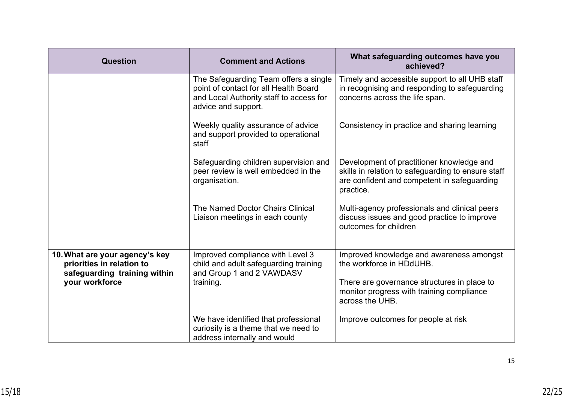| <b>Question</b>                                                                             | <b>Comment and Actions</b>                                                                                                                       | What safeguarding outcomes have you<br>achieved?                                                                                                            |
|---------------------------------------------------------------------------------------------|--------------------------------------------------------------------------------------------------------------------------------------------------|-------------------------------------------------------------------------------------------------------------------------------------------------------------|
|                                                                                             | The Safeguarding Team offers a single<br>point of contact for all Health Board<br>and Local Authority staff to access for<br>advice and support. | Timely and accessible support to all UHB staff<br>in recognising and responding to safeguarding<br>concerns across the life span.                           |
|                                                                                             | Weekly quality assurance of advice<br>and support provided to operational<br>staff                                                               | Consistency in practice and sharing learning                                                                                                                |
|                                                                                             | Safeguarding children supervision and<br>peer review is well embedded in the<br>organisation.                                                    | Development of practitioner knowledge and<br>skills in relation to safeguarding to ensure staff<br>are confident and competent in safeguarding<br>practice. |
|                                                                                             | The Named Doctor Chairs Clinical<br>Liaison meetings in each county                                                                              | Multi-agency professionals and clinical peers<br>discuss issues and good practice to improve<br>outcomes for children                                       |
| 10. What are your agency's key<br>priorities in relation to<br>safeguarding training within | Improved compliance with Level 3<br>child and adult safeguarding training<br>and Group 1 and 2 VAWDASV                                           | Improved knowledge and awareness amongst<br>the workforce in HDdUHB.                                                                                        |
| your workforce                                                                              | training.                                                                                                                                        | There are governance structures in place to<br>monitor progress with training compliance<br>across the UHB.                                                 |
|                                                                                             | We have identified that professional<br>curiosity is a theme that we need to<br>address internally and would                                     | Improve outcomes for people at risk                                                                                                                         |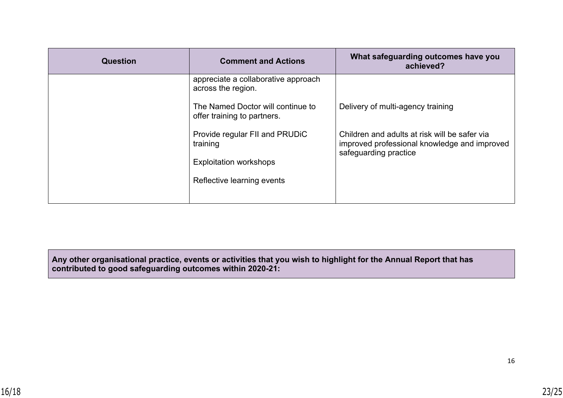| <b>Question</b> | <b>Comment and Actions</b>                                       | What safeguarding outcomes have you<br>achieved?                                                                       |
|-----------------|------------------------------------------------------------------|------------------------------------------------------------------------------------------------------------------------|
|                 | appreciate a collaborative approach<br>across the region.        |                                                                                                                        |
|                 | The Named Doctor will continue to<br>offer training to partners. | Delivery of multi-agency training                                                                                      |
|                 | Provide regular FII and PRUDIC<br>training                       | Children and adults at risk will be safer via<br>improved professional knowledge and improved<br>safeguarding practice |
|                 | <b>Exploitation workshops</b>                                    |                                                                                                                        |
|                 | Reflective learning events                                       |                                                                                                                        |
|                 |                                                                  |                                                                                                                        |

**Any other organisational practice, events or activities that you wish to highlight for the Annual Report that has contributed to good safeguarding outcomes within 2020-21:**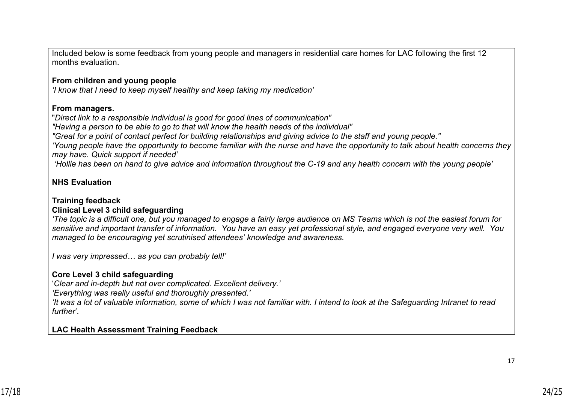Included below is some feedback from young people and managers in residential care homes for LAC following the first 12 months evaluation.

### **From children and young people**

*'I know that I need to keep myself healthy and keep taking my medication'*

#### **From managers.**

"*Direct link to a responsible individual is good for good lines of communication"*

*"Having a person to be able to go to that will know the health needs of the individual"*

*"Great for a point of contact perfect for building relationships and giving advice to the staff and young people."*

*'Young people have the opportunity to become familiar with the nurse and have the opportunity to talk about health concerns they may have. Quick support if needed'*

 *'Hollie has been on hand to give advice and information throughout the C-19 and any health concern with the young people'*

# **NHS Evaluation**

### **Training feedback**

# **Clinical Level 3 child safeguarding**

*'The topic is a difficult one, but you managed to engage a fairly large audience on MS Teams which is not the easiest forum for sensitive and important transfer of information. You have an easy yet professional style, and engaged everyone very well. You managed to be encouraging yet scrutinised attendees' knowledge and awareness.* 

*I was very impressed… as you can probably tell!'*

# **Core Level 3 child safeguarding**

'*Clear and in-depth but not over complicated. Excellent delivery.'*

*'Everything was really useful and thoroughly presented.'*

*'It was a lot of valuable information, some of which I was not familiar with. I intend to look at the Safeguarding Intranet to read further'.*

### **LAC Health Assessment Training Feedback**